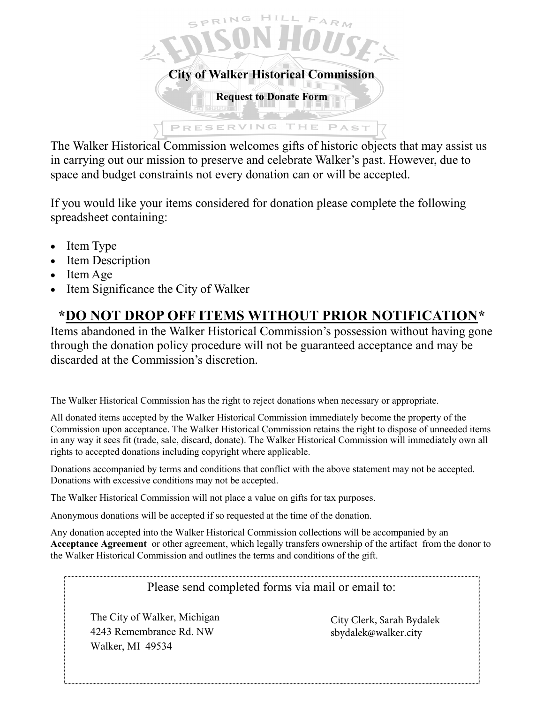

The Walker Historical Commission welcomes gifts of historic objects that may assist us in carrying out our mission to preserve and celebrate Walker's past. However, due to space and budget constraints not every donation can or will be accepted.

If you would like your items considered for donation please complete the following spreadsheet containing:

- Item Type
- Item Description
- $\bullet$  Item Age
- Item Significance the City of Walker

## **\*DO NOT DROP OFF ITEMS WITHOUT PRIOR NOTIFICATION\***

Items abandoned in the Walker Historical Commission's possession without having gone through the donation policy procedure will not be guaranteed acceptance and may be discarded at the Commission's discretion.

The Walker Historical Commission has the right to reject donations when necessary or appropriate.

All donated items accepted by the Walker Historical Commission immediately become the property of the Commission upon acceptance. The Walker Historical Commission retains the right to dispose of unneeded items in any way it sees fit (trade, sale, discard, donate). The Walker Historical Commission will immediately own all rights to accepted donations including copyright where applicable.

Donations accompanied by terms and conditions that conflict with the above statement may not be accepted. Donations with excessive conditions may not be accepted.

The Walker Historical Commission will not place a value on gifts for tax purposes.

Anonymous donations will be accepted if so requested at the time of the donation.

Any donation accepted into the Walker Historical Commission collections will be accompanied by an **Acceptance Agreement** or other agreement, which legally transfers ownership of the artifact from the donor to the Walker Historical Commission and outlines the terms and conditions of the gift.

Please send completed forms via mail or email to:

The City of Walker, Michigan 4243 Remembrance Rd. NW Walker, MI 49534

City Clerk, Sarah Bydalek [sbydalek@walker.city](mailto:historical.commission@ci.walker.mi.us)